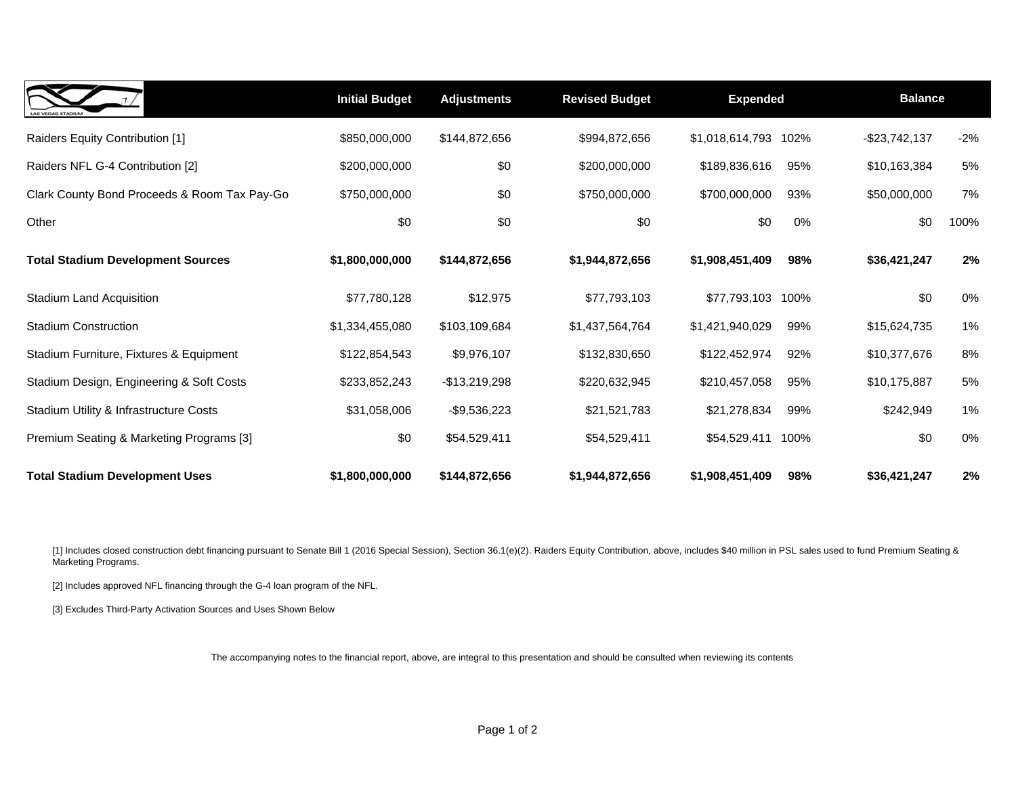| <b>LAS VEGAS STADIUM</b>                     | <b>Initial Budget</b> | <b>Adjustments</b> | <b>Revised Budget</b> | <b>Expended</b>         | <b>Balance</b>      |        |
|----------------------------------------------|-----------------------|--------------------|-----------------------|-------------------------|---------------------|--------|
| Raiders Equity Contribution [1]              | \$850,000,000         | \$144,872,656      | \$994,872,656         | \$1,018,614,793<br>102% | -\$23,742,137       | $-2\%$ |
| Raiders NFL G-4 Contribution [2]             | \$200,000,000         | \$0                | \$200,000,000         | \$189,836,616           | 95%<br>\$10,163,384 | 5%     |
| Clark County Bond Proceeds & Room Tax Pay-Go | \$750,000,000         | \$0                | \$750,000,000         | \$700,000,000           | 93%<br>\$50,000,000 | 7%     |
| Other                                        | \$0                   | \$0                | \$0                   | \$0                     | \$0<br>0%           | 100%   |
| <b>Total Stadium Development Sources</b>     | \$1,800,000,000       | \$144,872,656      | \$1,944,872,656       | \$1,908,451,409         | 98%<br>\$36,421,247 | 2%     |
| <b>Stadium Land Acquisition</b>              | \$77,780,128          | \$12,975           | \$77,793,103          | \$77,793,103<br>100%    | \$0                 | 0%     |
| <b>Stadium Construction</b>                  | \$1,334,455,080       | \$103,109,684      | \$1,437,564,764       | \$1,421,940,029         | 99%<br>\$15,624,735 | 1%     |
| Stadium Furniture, Fixtures & Equipment      | \$122,854,543         | \$9,976,107        | \$132,830,650         | \$122,452,974           | 92%<br>\$10,377,676 | 8%     |
| Stadium Design, Engineering & Soft Costs     | \$233,852,243         | -\$13,219,298      | \$220,632,945         | \$210,457,058           | 95%<br>\$10,175,887 | 5%     |
| Stadium Utility & Infrastructure Costs       | \$31,058,006          | -\$9,536,223       | \$21,521,783          | \$21,278,834            | \$242,949<br>99%    | $1\%$  |
| Premium Seating & Marketing Programs [3]     | \$0                   | \$54,529,411       | \$54,529,411          | \$54,529,411<br>100%    | \$0                 | 0%     |
| <b>Total Stadium Development Uses</b>        | \$1,800,000,000       | \$144,872,656      | \$1,944,872,656       | \$1,908,451,409         | 98%<br>\$36,421,247 | 2%     |

[1] Includes closed construction debt financing pursuant to Senate Bill 1 (2016 Special Session), Section 36.1(e)(2). Raiders Equity Contribution, above, includes \$40 million in PSL sales used to fund Premium Seating & Marketing Programs.

[2] Includes approved NFL financing through the G-4 loan program of the NFL.

[3] Excludes Third-Party Activation Sources and Uses Shown Below

The accompanying notes to the financial report, above, are integral to this presentation and should be consulted when reviewing its contents